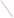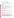# **Technical Factsheet on: ENDRIN**

## [List of Contaminants](http://www.epa.gov/safewater/hfacts.html)

 As part of the Drinking Water and Health pages, this fact sheet is part of a larger publication: **National Primary Drinking Water Regulations** 

Drinking Water Standards MCLG: 0.002 mg/L MCL: 0.002 mg/L HAL(child): 1- to 10-day: 0.02 mg/L; Longer term: 0.003 mg/L

## **Health Effects Summary**

 Acute: EPA has found endrin to potentially cause the following health effects from acute exposures at levels above the MCL: tremors, labored breathing, mental confusion, convulsions.

Drinking water levels which are considered "safe" for short-term exposures: For a 10-kg (22 lb.) child consuming 1 liter of water per day, upto a ten-day exposure to 0.02 mg/L or up to a 7-year exposure to 0.003 mg/L.

Chronic: Endrin has the potential to cause the following health effects from long-term exposures at levels above the MCL: convulsions and damage to liver tissue.

 from a lifetime exposure in drinking water. Cancer: There is inadequate evidence to state whether or not endrin has the potential to cause cancer

## **Usage Patterns**

 Endrin is an aliphatic chlorinated insecticide which has been used mainly on field crops such as cotton, non-cropland and to control voles and mice in orchards. maize, sugarcane, rice, cereals, ornamentals, and other crops. It has also been used for grasshoppers in

Once widely used in the US, most uses were cancelled in 1980. Production in 1980 was reported to be 100,000 lbs.

## **Release Patterns**

 Endrin's former source in the environment is from use as an insect, bird and rat-killer. It has been used on been on cotton crops. The U.S. EPA presently considers the pesticide cancelled. agricultural crops, cotton seeds, control of birds on buildings and mice in orchards. Its major use has

## **Environmental Fate**

 Endrin is very persistent, but it is known to photodegrade to delta-ketoendrin (half-life 7 days - June). Biodegradation may be enhanced somewhat in flooded soils or under anaerobic conditions. Its low water of endrin in certain groundwater samples suggest that leaching may be possible in some soils. Endrin's that moderate to extensive loss of endrin from soils and crops was due to evaporation. Runoff from rain or Endrin released to soils will persist for extremely long periods of time (up to 14 yr or more). solubility and strong adsorption to soil makes leaching into groundwater unlikely. However, the detection low vapor pressure suggests only limited evaporation from soil. However, several studies have suggested irrigation of particle-associated endrin will carry particle-associated endrin to water systems.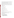Endrin released to water systems will not hydrolyze or biodegrade. It will be subject to photoisomerization to ketoendrin. It will extensively sorb to sediment. Evaporation from water will not be significant.

 Fate of endrin in the atmosphere is unknown, but it probably will be primarily associated with particulate matter and be removed mainly by rainout and dry deposition.

 There is significant bioconcentration of endrin in fish, with BCFs of 1335-10,000 reported. In addition, there is moderate to extensive bioconcentration in shellfish (BCF of 500-1250) and in snails (BCF of 49,000).

Monitoring data demonstrates that endrin continues to be a contaminant in air, water, sediment, soil, fish, and other aquatic organisms. Human exposure appears to come mostly from food or occupational exposure.

## **Chemical/ Physical Properties**

CAS Number: 72-20-8

M.P.: 200 C B.P.: decomp. 245 C

Color/ Form/Odor: Odorless white crystals<br>M.P.: 200 C B.P.: decomp. 245 C<br>Vapor Pressure: 2x10-7 mm Hg at 25 C

Octanol/Water Partition (Kow): Log Kow = 5.6(calc.)<br>Density/Spec. Grav.: 1.7 at 20 C

Density/Spec. Grav.: 1.7 at 20 C

Solubility: 0.2 mg/L of water; Slightly soluble in water

Solubility: 0.2 mg/L of water; Slightly soluble in water<br>Soil sorption coefficient: Koc =34,000 (est); low mobility in soil

Odor/Taste Thresholds: N/A

Bioconcentration Factor: 1335 to 10,000 in fish; expected to bioconcentrate in aquatic organisms.

Henry's Law Coefficient: 4x10-7 atm-cu m/mole

 269; Hexachloroepoxy- octahydro-endo,endo-dimethano- naphthalene Trade Names/Synonyms: Nendrin; EN 57; Endrex; Endricol; Hexadrin; Mendrin; Oktanex; Compound

#### **Other Regulatory Information**

Monitoring For Ground/Surface Water Sources:

 Initial Frequency- 4 quarterly samples every 3 years Repeat Frequency- If no detections during initial round: 2 quarterly per year if serving >3300 persons; 1 sample per 3 years for smaller systems 1 sample per 3 years for smaller systems Triggers - Return to Initial Freq. if detect at > 0.00001 mg/L Analysis: